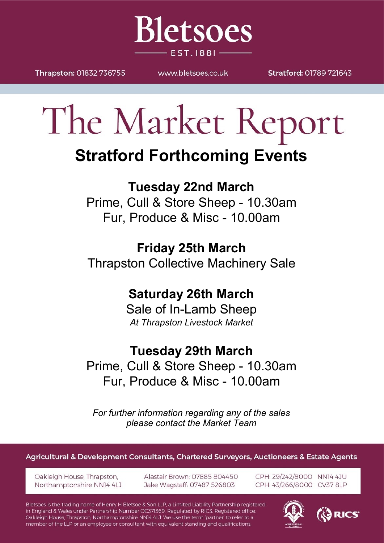

Thrapston: 01832 736755

WWW.bletsoes.co.uk

Stratford: 01789 721643

# The Market Report

## **Stratford Forthcoming Events**

## **Tuesday 22nd March**

Prime, Cull & Store Sheep - 10.30am Fur, Produce & Misc - 10.00am

## **Friday 25th March**

Thrapston Collective Machinery Sale

### **Saturday 26th March**

Sale of In-Lamb Sheep *At Thrapston Livestock Market*

### **Tuesday 29th March**

Prime, Cull & Store Sheep - 10.30am Fur, Produce & Misc - 10.00am

*For further information regarding any of the sales please contact the Market Team*

Agricultural & Development Consultants, Chartered Surveyors, Auctioneers & Estate Agents

Oakleigh House, Thrapston, Northamptonshire NN14 4LJ Alastair Brown: 07885 804450 Jake Wagstaff: 07487 526803

CPH: 29/242/8000 NN14 4JU CPH: 43/266/8000 CV37 8LP

Bletsoes is the trading name of Henry H Bletsoe & Son LLP, a Limited Liability Partnership registered in England & Wales under Partnership Number OC371369. Regulated by RICS. Registered office: Oakleigh House, Thrapston, Northamptonshire NN14 4LJ. We use the term 'partner' to refer to a member of the LLP or an employee or consultant with equivalent standing and qualifications.



3 RICS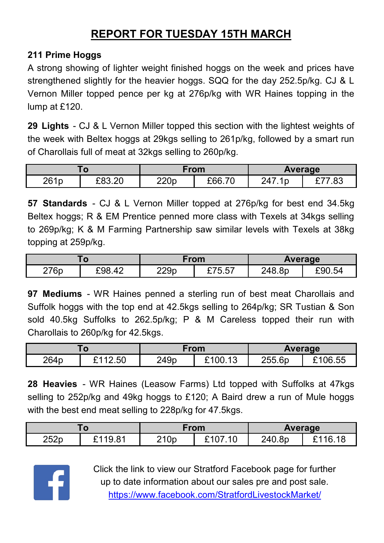#### **REPORT FOR TUESDAY 15TH MARCH**

#### **211 Prime Hoggs**

A strong showing of lighter weight finished hoggs on the week and prices have strengthened slightly for the heavier hoggs. SQQ for the day 252.5p/kg. CJ & L Vernon Miller topped pence per kg at 276p/kg with WR Haines topping in the lump at £120.

**29 Lights** - CJ & L Vernon Miller topped this section with the lightest weights of the week with Beltex hoggs at 29kgs selling to 261p/kg, followed by a smart run of Charollais full of meat at 32kgs selling to 260p/kg.

|                  |        | From |        | <b>Average</b> |             |
|------------------|--------|------|--------|----------------|-------------|
| 261 <sub>p</sub> | £83.20 | 220p | £66.70 | 247            | oo '<br>ده. |

**57 Standards** - CJ & L Vernon Miller topped at 276p/kg for best end 34.5kg Beltex hoggs; R & EM Prentice penned more class with Texels at 34kgs selling to 269p/kg; K & M Farming Partnership saw similar levels with Texels at 38kg topping at 259p/kg.

|      |        | From |        | <b>Average</b> |        |
|------|--------|------|--------|----------------|--------|
| 276p | £98.42 | 229p | £75.57 | 248.8p         | £90.54 |

**97 Mediums** - WR Haines penned a sterling run of best meat Charollais and Suffolk hoggs with the top end at 42.5kgs selling to 264p/kg; SR Tustian & Son sold 40.5kg Suffolks to 262.5p/kg; P & M Careless topped their run with Charollais to 260p/kg for 42.5kgs.

|                  |         | From |       | Average |         |
|------------------|---------|------|-------|---------|---------|
| 264 <sub>p</sub> | £112.50 | 249p | 00.13 | 255.6p  | £106.55 |

**28 Heavies** - WR Haines (Leasow Farms) Ltd topped with Suffolks at 47kgs selling to 252p/kg and 49kg hoggs to £120; A Baird drew a run of Mule hoggs with the best end meat selling to 228p/kg for 47.5kgs.

| u    |               | From |    | Average |         |
|------|---------------|------|----|---------|---------|
| 252p | 0.110.81<br>u | 210p | 10 | 240.8p  | 16<br>ີ |



Click the link to view our Stratford Facebook page for further up to date information about our sales pre and post sale. <https://www.facebook.com/StratfordLivestockMarket/>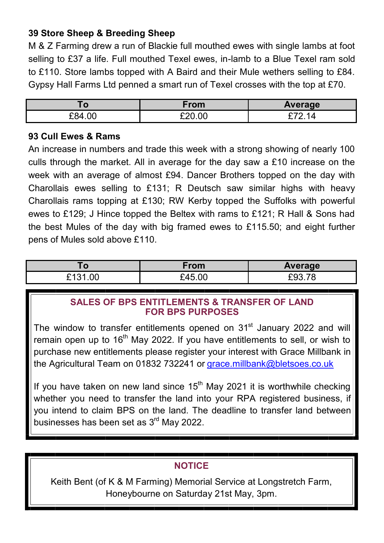#### **39 Store Sheep & Breeding Sheep**

M & Z Farming drew a run of Blackie full mouthed ewes with single lambs at foot selling to £37 a life. Full mouthed Texel ewes, in-lamb to a Blue Texel ram sold to £110. Store lambs topped with A Baird and their Mule wethers selling to £84. Gypsy Hall Farms Ltd penned a smart run of Texel crosses with the top at £70.

| l O    | $rom$  | Average |
|--------|--------|---------|
| £84.00 | £20.00 |         |

#### **93 Cull Ewes & Rams**

An increase in numbers and trade this week with a strong showing of nearly 100 culls through the market. All in average for the day saw a £10 increase on the week with an average of almost £94. Dancer Brothers topped on the day with Charollais ewes selling to £131; R Deutsch saw similar highs with heavy Charollais rams topping at £130; RW Kerby topped the Suffolks with powerful ewes to £129; J Hince topped the Beltex with rams to £121; R Hall & Sons had the best Mules of the day with big framed ewes to £115.50; and eight further pens of Mules sold above £110.

| .o                       | From   | Average |
|--------------------------|--------|---------|
| 0.10 <sub>0</sub><br>.00 | £45.00 | -`u∵    |

#### **SALES OF BPS ENTITLEMENTS & TRANSFER OF LAND FOR BPS PURPOSES**

The window to transfer entitlements opened on 31<sup>st</sup> January 2022 and will remain open up to 16<sup>th</sup> May 2022. If you have entitlements to sell, or wish to purchase new entitlements please register your interest with Grace Millbank in the Agricultural Team on 01832 732241 or [grace.millbank@bletsoes.co.uk](mailto:grace.millbank@bletsoes.co.uk)

If you have taken on new land since  $15<sup>th</sup>$  May 2021 it is worthwhile checking whether you need to transfer the land into your RPA registered business, if you intend to claim BPS on the land. The deadline to transfer land between businesses has been set as 3<sup>rd</sup> May 2022.

#### **NOTICE**

Keith Bent (of K & M Farming) Memorial Service at Longstretch Farm, Honeybourne on Saturday 21st May, 3pm.